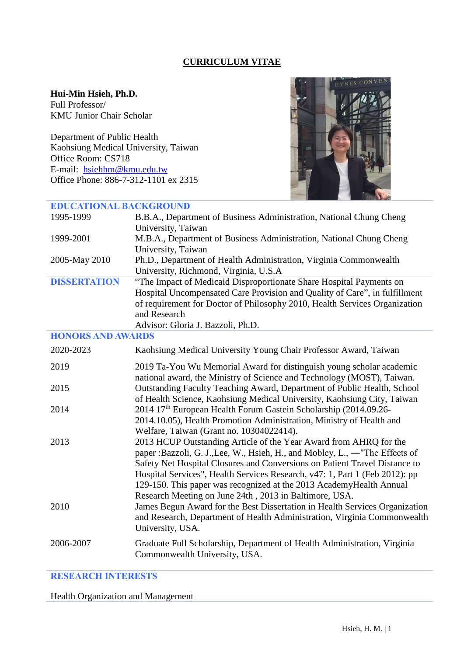### **CURRICULUM VITAE**

## **Hui-Min Hsieh, Ph.D.**

Full Professor/ KMU Junior Chair Scholar

Department of Public Health Kaohsiung Medical University, Taiwan Office Room: CS718 E-mail: [hsiehhm@kmu.edu.tw](mailto:hsiehhm@kmu.edu.tw) Office Phone: 886-7-312-1101 ex 2315



# **EDUCATIONAL BACKGROUND**

| 1995-1999                | B.B.A., Department of Business Administration, National Chung Cheng<br>University, Taiwan                                                                                                                                                                                                                                                                                                                                                       |
|--------------------------|-------------------------------------------------------------------------------------------------------------------------------------------------------------------------------------------------------------------------------------------------------------------------------------------------------------------------------------------------------------------------------------------------------------------------------------------------|
| 1999-2001                | M.B.A., Department of Business Administration, National Chung Cheng<br>University, Taiwan                                                                                                                                                                                                                                                                                                                                                       |
| 2005-May 2010            | Ph.D., Department of Health Administration, Virginia Commonwealth<br>University, Richmond, Virginia, U.S.A                                                                                                                                                                                                                                                                                                                                      |
| <b>DISSERTATION</b>      | "The Impact of Medicaid Disproportionate Share Hospital Payments on<br>Hospital Uncompensated Care Provision and Quality of Care", in fulfillment<br>of requirement for Doctor of Philosophy 2010, Health Services Organization<br>and Research<br>Advisor: Gloria J. Bazzoli, Ph.D.                                                                                                                                                            |
| <b>HONORS AND AWARDS</b> |                                                                                                                                                                                                                                                                                                                                                                                                                                                 |
| 2020-2023                | Kaohsiung Medical University Young Chair Professor Award, Taiwan                                                                                                                                                                                                                                                                                                                                                                                |
| 2019                     | 2019 Ta-You Wu Memorial Award for distinguish young scholar academic<br>national award, the Ministry of Science and Technology (MOST), Taiwan.                                                                                                                                                                                                                                                                                                  |
| 2015                     | Outstanding Faculty Teaching Award, Department of Public Health, School<br>of Health Science, Kaohsiung Medical University, Kaohsiung City, Taiwan                                                                                                                                                                                                                                                                                              |
| 2014                     | 2014 17 <sup>th</sup> European Health Forum Gastein Scholarship (2014.09.26-<br>2014.10.05), Health Promotion Administration, Ministry of Health and<br>Welfare, Taiwan (Grant no. 10304022414).                                                                                                                                                                                                                                                |
| 2013                     | 2013 HCUP Outstanding Article of the Year Award from AHRQ for the<br>paper : Bazzoli, G. J., Lee, W., Hsieh, H., and Mobley, L., —"The Effects of<br>Safety Net Hospital Closures and Conversions on Patient Travel Distance to<br>Hospital Services", Health Services Research, v47: 1, Part 1 (Feb 2012): pp<br>129-150. This paper was recognized at the 2013 AcademyHealth Annual<br>Research Meeting on June 24th, 2013 in Baltimore, USA. |
| 2010                     | James Begun Award for the Best Dissertation in Health Services Organization<br>and Research, Department of Health Administration, Virginia Commonwealth<br>University, USA.                                                                                                                                                                                                                                                                     |
| 2006-2007                | Graduate Full Scholarship, Department of Health Administration, Virginia<br>Commonwealth University, USA.                                                                                                                                                                                                                                                                                                                                       |

## **RESEARCH INTERESTS**

Health Organization and Management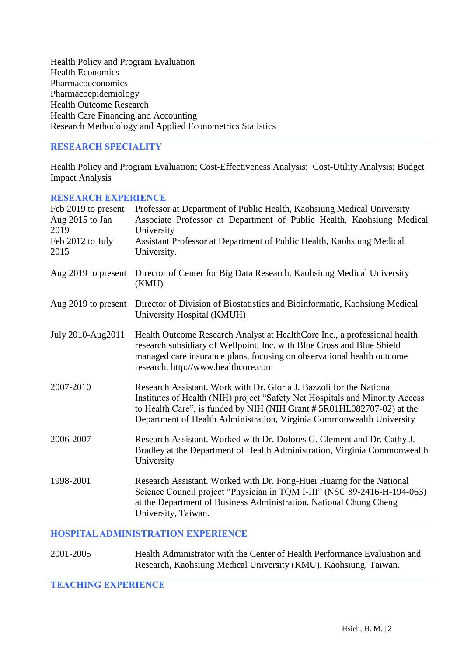Health Policy and Program Evaluation Health Economics Pharmacoeconomics Pharmacoepidemiology Health Outcome Research Health Care Financing and Accounting Research Methodology and Applied Econometrics Statistics

#### **RESEARCH SPECIALITY**

Health Policy and Program Evaluation; Cost-Effectiveness Analysis; Cost-Utility Analysis; Budget Impact Analysis

| <b>RESEARCH EXPERIENCE</b>             |                                                                                                                                                 |
|----------------------------------------|-------------------------------------------------------------------------------------------------------------------------------------------------|
| Feb 2019 to present<br>Aug 2015 to Jan | Professor at Department of Public Health, Kaohsiung Medical University<br>Associate Professor at Department of Public Health, Kaohsiung Medical |
| 2019                                   | University                                                                                                                                      |
| Feb 2012 to July                       | Assistant Professor at Department of Public Health, Kaohsiung Medical                                                                           |
| 2015                                   | University.                                                                                                                                     |
|                                        |                                                                                                                                                 |
| Aug 2019 to present                    | Director of Center for Big Data Research, Kaohsiung Medical University<br>(KMU)                                                                 |
| Aug 2019 to present                    | Director of Division of Biostatistics and Bioinformatic, Kaohsiung Medical                                                                      |
|                                        | University Hospital (KMUH)                                                                                                                      |
| July 2010-Aug2011                      | Health Outcome Research Analyst at HealthCore Inc., a professional health                                                                       |
|                                        | research subsidiary of Wellpoint, Inc. with Blue Cross and Blue Shield                                                                          |
|                                        | managed care insurance plans, focusing on observational health outcome<br>research. http://www.healthcore.com                                   |
|                                        |                                                                                                                                                 |
| 2007-2010                              | Research Assistant. Work with Dr. Gloria J. Bazzoli for the National                                                                            |
|                                        | Institutes of Health (NIH) project "Safety Net Hospitals and Minority Access                                                                    |
|                                        | to Health Care", is funded by NIH (NIH Grant #5R01HL082707-02) at the<br>Department of Health Administration, Virginia Commonwealth University  |
|                                        |                                                                                                                                                 |
| 2006-2007                              | Research Assistant. Worked with Dr. Dolores G. Clement and Dr. Cathy J.                                                                         |
|                                        | Bradley at the Department of Health Administration, Virginia Commonwealth<br>University                                                         |
|                                        |                                                                                                                                                 |
| 1998-2001                              | Research Assistant. Worked with Dr. Fong-Huei Huarng for the National                                                                           |
|                                        | Science Council project "Physician in TQM I-III" (NSC 89-2416-H-194-063)                                                                        |
|                                        | at the Department of Business Administration, National Chung Cheng<br>University, Taiwan.                                                       |
|                                        |                                                                                                                                                 |

#### **HOSPITAL ADMINISTRATION EXPERIENCE**

#### 2001-2005 Health Administrator with the Center of Health Performance Evaluation and Research, Kaohsiung Medical University (KMU), Kaohsiung, Taiwan.

#### **TEACHING EXPERIENCE**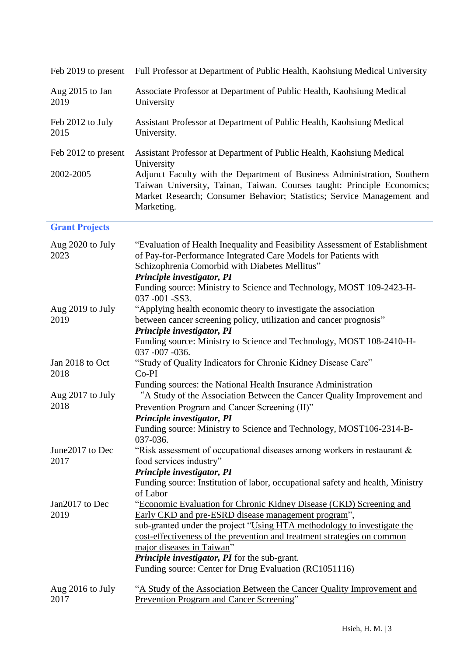|                          | Feb 2019 to present Full Professor at Department of Public Health, Kaohsiung Medical University                                                                                                                                                                                                                                                                                                                          |
|--------------------------|--------------------------------------------------------------------------------------------------------------------------------------------------------------------------------------------------------------------------------------------------------------------------------------------------------------------------------------------------------------------------------------------------------------------------|
| Aug 2015 to Jan<br>2019  | Associate Professor at Department of Public Health, Kaohsiung Medical<br>University                                                                                                                                                                                                                                                                                                                                      |
| Feb 2012 to July<br>2015 | Assistant Professor at Department of Public Health, Kaohsiung Medical<br>University.                                                                                                                                                                                                                                                                                                                                     |
| Feb 2012 to present      | Assistant Professor at Department of Public Health, Kaohsiung Medical                                                                                                                                                                                                                                                                                                                                                    |
| 2002-2005                | University<br>Adjunct Faculty with the Department of Business Administration, Southern<br>Taiwan University, Tainan, Taiwan. Courses taught: Principle Economics;<br>Market Research; Consumer Behavior; Statistics; Service Management and<br>Marketing.                                                                                                                                                                |
| <b>Grant Projects</b>    |                                                                                                                                                                                                                                                                                                                                                                                                                          |
| Aug 2020 to July<br>2023 | "Evaluation of Health Inequality and Feasibility Assessment of Establishment<br>of Pay-for-Performance Integrated Care Models for Patients with<br>Schizophrenia Comorbid with Diabetes Mellitus"<br>Principle investigator, PI<br>Funding source: Ministry to Science and Technology, MOST 109-2423-H-                                                                                                                  |
|                          | 037 -001 -SS3.                                                                                                                                                                                                                                                                                                                                                                                                           |
| Aug 2019 to July<br>2019 | "Applying health economic theory to investigate the association<br>between cancer screening policy, utilization and cancer prognosis"<br>Principle investigator, PI<br>Funding source: Ministry to Science and Technology, MOST 108-2410-H-                                                                                                                                                                              |
|                          | 037 -007 -036.                                                                                                                                                                                                                                                                                                                                                                                                           |
| Jan 2018 to Oct<br>2018  | "Study of Quality Indicators for Chronic Kidney Disease Care"<br>$Co-PI$                                                                                                                                                                                                                                                                                                                                                 |
| Aug 2017 to July<br>2018 | Funding sources: the National Health Insurance Administration<br>"A Study of the Association Between the Cancer Quality Improvement and<br>Prevention Program and Cancer Screening (II)"<br>Principle investigator, PI<br>Funding source: Ministry to Science and Technology, MOST106-2314-B-                                                                                                                            |
| June2017 to Dec          | 037-036.<br>"Risk assessment of occupational diseases among workers in restaurant $\&$                                                                                                                                                                                                                                                                                                                                   |
| 2017                     | food services industry"<br>Principle investigator, PI<br>Funding source: Institution of labor, occupational safety and health, Ministry<br>of Labor                                                                                                                                                                                                                                                                      |
| Jan2017 to Dec<br>2019   | "Economic Evaluation for Chronic Kidney Disease (CKD) Screening and<br>Early CKD and pre-ESRD disease management program",<br>sub-granted under the project "Using HTA methodology to investigate the<br>cost-effectiveness of the prevention and treatment strategies on common<br>major diseases in Taiwan"<br>Principle investigator, PI for the sub-grant.<br>Funding source: Center for Drug Evaluation (RC1051116) |
| Aug 2016 to July<br>2017 | "A Study of the Association Between the Cancer Quality Improvement and<br><b>Prevention Program and Cancer Screening"</b>                                                                                                                                                                                                                                                                                                |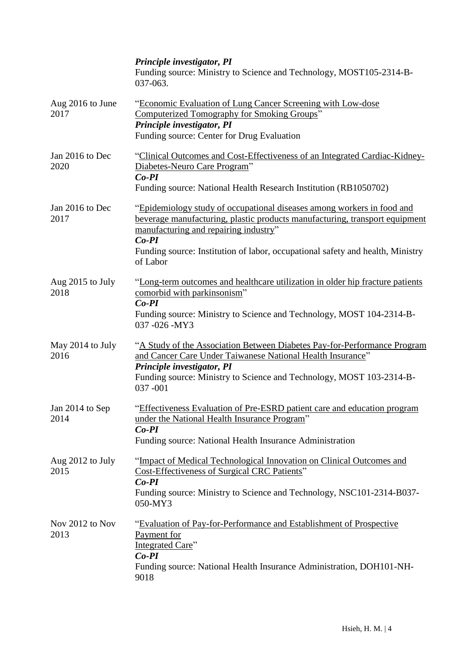|                          | Principle investigator, PI<br>Funding source: Ministry to Science and Technology, MOST105-2314-B-<br>$037 - 063$ .                                                                                                                                                                                      |
|--------------------------|---------------------------------------------------------------------------------------------------------------------------------------------------------------------------------------------------------------------------------------------------------------------------------------------------------|
| Aug 2016 to June<br>2017 | "Economic Evaluation of Lung Cancer Screening with Low-dose<br>Computerized Tomography for Smoking Groups"<br>Principle investigator, PI<br>Funding source: Center for Drug Evaluation                                                                                                                  |
| Jan 2016 to Dec<br>2020  | "Clinical Outcomes and Cost-Effectiveness of an Integrated Cardiac-Kidney-<br>Diabetes-Neuro Care Program"<br>$Co-PI$<br>Funding source: National Health Research Institution (RB1050702)                                                                                                               |
| Jan 2016 to Dec<br>2017  | "Epidemiology study of occupational diseases among workers in food and<br>beverage manufacturing, plastic products manufacturing, transport equipment<br>manufacturing and repairing industry"<br>$Co-PI$<br>Funding source: Institution of labor, occupational safety and health, Ministry<br>of Labor |
| Aug 2015 to July<br>2018 | "Long-term outcomes and healthcare utilization in older hip fracture patients<br>comorbid with parkinsonism"<br>$Co-PI$<br>Funding source: Ministry to Science and Technology, MOST 104-2314-B-<br>037 - 026 - MY3                                                                                      |
| May 2014 to July<br>2016 | "A Study of the Association Between Diabetes Pay-for-Performance Program<br>and Cancer Care Under Taiwanese National Health Insurance"<br>Principle investigator, PI<br>Funding source: Ministry to Science and Technology, MOST 103-2314-B-<br>037-001                                                 |
| Jan 2014 to Sep<br>2014  | "Effectiveness Evaluation of Pre-ESRD patient care and education program<br>under the National Health Insurance Program"<br>$Co-PI$<br>Funding source: National Health Insurance Administration                                                                                                         |
| Aug 2012 to July<br>2015 | "Impact of Medical Technological Innovation on Clinical Outcomes and<br>Cost-Effectiveness of Surgical CRC Patients"<br>$Co-PI$<br>Funding source: Ministry to Science and Technology, NSC101-2314-B037-<br>050-MY3                                                                                     |
| Nov 2012 to Nov<br>2013  | "Evaluation of Pay-for-Performance and Establishment of Prospective<br>Payment for<br>Integrated Care"<br>$Co-PI$<br>Funding source: National Health Insurance Administration, DOH101-NH-<br>9018                                                                                                       |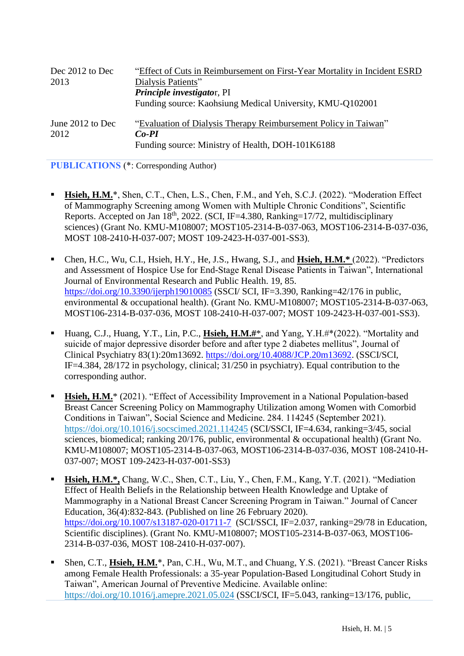| Dec 2012 to Dec          | "Effect of Cuts in Reimbursement on First-Year Mortality in Incident ESRD  |
|--------------------------|----------------------------------------------------------------------------|
| 2013                     | Dialysis Patients"                                                         |
|                          | Principle investigator, PI                                                 |
|                          | Funding source: Kaohsiung Medical University, KMU-Q102001                  |
| June 2012 to Dec<br>2012 | "Evaluation of Dialysis Therapy Reimbursement Policy in Taiwan"<br>$Co-PI$ |
|                          | Funding source: Ministry of Health, DOH-101K6188                           |

**PUBLICATIONS** (\*: Corresponding Author)

- Hsieh, H.M.<sup>\*</sup>, Shen, C.T., Chen, L.S., Chen, F.M., and Yeh, S.C.J. (2022). "Moderation Effect of Mammography Screening among Women with Multiple Chronic Conditions", Scientific Reports. Accepted on Jan  $18<sup>th</sup>$ , 2022. (SCI, IF=4.380, Ranking=17/72, multidisciplinary sciences) (Grant No. KMU-M108007; MOST105-2314-B-037-063, MOST106-2314-B-037-036, MOST 108-2410-H-037-007; MOST 109-2423-H-037-001-SS3).
- Chen, H.C., Wu, C.I., Hsieh, H.Y., He, J.S., Hwang, S.J., and **Hsieh, H.M.\*** (2022). "Predictors and Assessment of Hospice Use for End-Stage Renal Disease Patients in Taiwan", International Journal of Environmental Research and Public Health. 19, 85. <https://doi.org/10.3390/ijerph19010085> (SSCI/ SCI, IF=3.390, Ranking=42/176 in public, environmental & occupational health). (Grant No. KMU-M108007; MOST105-2314-B-037-063, MOST106-2314-B-037-036, MOST 108-2410-H-037-007; MOST 109-2423-H-037-001-SS3).
- Huang, C.J., Huang, Y.T., Lin, P.C., **Hsieh, H.M.#**\*, and Yang, Y.H.#\*(2022). "Mortality and suicide of major depressive disorder before and after type 2 diabetes mellitus", Journal of Clinical Psychiatry 83(1):20m13692. [https://doi.org/10.4088/JCP.20m13692.](https://doi.org/10.4088/JCP.20m13692) (SSCI/SCI, IF=4.384, 28/172 in psychology, clinical; 31/250 in psychiatry). Equal contribution to the corresponding author.
- **Hsieh, H.M.**\* (2021). "Effect of Accessibility Improvement in a National Population-based Breast Cancer Screening Policy on Mammography Utilization among Women with Comorbid Conditions in Taiwan", Social Science and Medicine. 284. 114245 (September 2021). <https://doi.org/10.1016/j.socscimed.2021.114245> (SCI/SSCI, IF=4.634, ranking=3/45, social sciences, biomedical; ranking 20/176, public, environmental & occupational health) (Grant No. KMU-M108007; MOST105-2314-B-037-063, MOST106-2314-B-037-036, MOST 108-2410-H-037-007; MOST 109-2423-H-037-001-SS3)
- **Hsieh, H.M.\*,** Chang, W.C., Shen, C.T., Liu, Y., Chen, F.M., Kang, Y.T. (2021). "Mediation Effect of Health Beliefs in the Relationship between Health Knowledge and Uptake of Mammography in a National Breast Cancer Screening Program in Taiwan." Journal of Cancer Education, 36(4):832-843. (Published on line 26 February 2020). <https://doi.org/10.1007/s13187-020-01711-7> (SCI/SSCI, IF=2.037, ranking=29/78 in Education, Scientific disciplines). (Grant No. KMU-M108007; MOST105-2314-B-037-063, MOST106- 2314-B-037-036, MOST 108-2410-H-037-007).
- Shen, C.T., Hsieh, H.M.<sup>\*</sup>, Pan, C.H., Wu, M.T., and Chuang, Y.S. (2021). "Breast Cancer Risks among Female Health Professionals: a 35-year Population-Based Longitudinal Cohort Study in Taiwan", American Journal of Preventive Medicine. Available online: <https://doi.org/10.1016/j.amepre.2021.05.024> (SSCI/SCI, IF=5.043, ranking=13/176, public,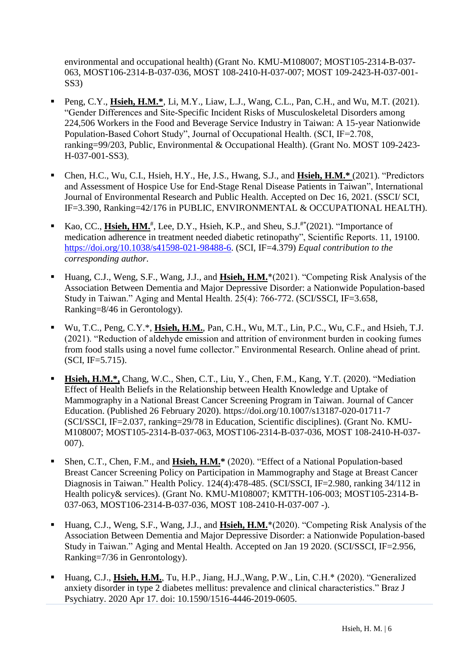environmental and occupational health) (Grant No. KMU-M108007; MOST105-2314-B-037- 063, MOST106-2314-B-037-036, MOST 108-2410-H-037-007; MOST 109-2423-H-037-001- SS3)

- Peng, C.Y., **Hsieh, H.M.**\*, Li, M.Y., Liaw, L.J., Wang, C.L., Pan, C.H., and Wu, M.T. (2021). "Gender Differences and Site-Specific Incident Risks of Musculoskeletal Disorders among 224,506 Workers in the Food and Beverage Service Industry in Taiwan: A 15-year Nationwide Population-Based Cohort Study", Journal of Occupational Health. (SCI, IF=2.708, ranking=99/203, Public, Environmental & Occupational Health). (Grant No. MOST 109-2423- H-037-001-SS3).
- Chen, H.C., Wu, C.I., Hsieh, H.Y., He, J.S., Hwang, S.J., and **Hsieh, H.M.\*** (2021). "Predictors and Assessment of Hospice Use for End-Stage Renal Disease Patients in Taiwan", International Journal of Environmental Research and Public Health. Accepted on Dec 16, 2021. (SSCI/ SCI, IF=3.390, Ranking=42/176 in PUBLIC, ENVIRONMENTAL & OCCUPATIONAL HEALTH).
- Kao, CC., **Hsieh, HM.<sup>#</sup>**, Lee, D.Y., Hsieh, K.P., and Sheu, S.J.<sup>#\*</sup>(2021). "Importance of medication adherence in treatment needed diabetic retinopathy", Scientific Reports. 11, 19100. [https://doi.org/10.1038/s41598-021-98488-6.](https://doi.org/10.1038/s41598-021-98488-6) (SCI, IF=4.379) *Equal contribution to the corresponding author*.
- Huang, C.J., Weng, S.F., Wang, J.J., and **Hsieh, H.M.**\*(2021). "Competing Risk Analysis of the Association Between Dementia and Major Depressive Disorder: a Nationwide Population-based Study in Taiwan." Aging and Mental Health. 25(4): 766-772. (SCI/SSCI, IF=3.658, Ranking=8/46 in Gerontology).
- Wu, T.C., Peng, C.Y.\*, **Hsieh, H.M.**, Pan, C.H., Wu, M.T., Lin, P.C., Wu, C.F., and Hsieh, T.J. (2021). "Reduction of aldehyde emission and attrition of environment burden in cooking fumes from food stalls using a novel fume collector." Environmental Research. Online ahead of print. (SCI, IF=5.715).
- **Hsieh, H.M.\*,** Chang, W.C., Shen, C.T., Liu, Y., Chen, F.M., Kang, Y.T. (2020). "Mediation Effect of Health Beliefs in the Relationship between Health Knowledge and Uptake of Mammography in a National Breast Cancer Screening Program in Taiwan. Journal of Cancer Education. (Published 26 February 2020). https://doi.org/10.1007/s13187-020-01711-7 (SCI/SSCI, IF=2.037, ranking=29/78 in Education, Scientific disciplines). (Grant No. KMU-M108007; MOST105-2314-B-037-063, MOST106-2314-B-037-036, MOST 108-2410-H-037- 007).
- Shen, C.T., Chen, F.M., and Hsieh, H.M.\* (2020). "Effect of a National Population-based Breast Cancer Screening Policy on Participation in Mammography and Stage at Breast Cancer Diagnosis in Taiwan." Health Policy. 124(4):478-485. (SCI/SSCI, IF=2.980, ranking 34/112 in Health policy& services). (Grant No. KMU-M108007; KMTTH-106-003; MOST105-2314-B-037-063, MOST106-2314-B-037-036, MOST 108-2410-H-037-007 -).
- Huang, C.J., Weng, S.F., Wang, J.J., and **Hsieh, H.M.**\*(2020). "Competing Risk Analysis of the Association Between Dementia and Major Depressive Disorder: a Nationwide Population-based Study in Taiwan." Aging and Mental Health. Accepted on Jan 19 2020. (SCI/SSCI, IF=2.956, Ranking=7/36 in Genrontology).
- Huang, C.J., **Hsieh, H.M.**, Tu, H.P., Jiang, H.J.,Wang, P.W., Lin, C.H.\* (2020). "Generalized anxiety disorder in type 2 diabetes mellitus: prevalence and clinical characteristics." Braz J Psychiatry. 2020 Apr 17. doi: 10.1590/1516-4446-2019-0605.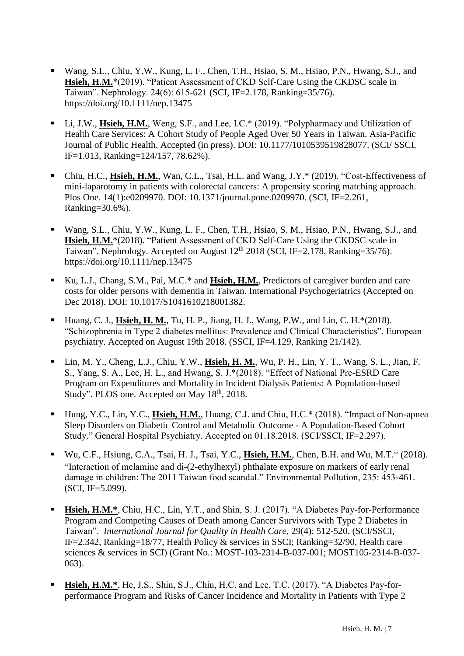- Wang, S.L., Chiu, Y.W., Kung, L. F., Chen, T.H., Hsiao, S. M., Hsiao, P.N., Hwang, S.J., and **Hsieh, H.M.**\*(2019). "Patient Assessment of CKD Self-Care Using the CKDSC scale in Taiwan". Nephrology. 24(6): 615-621 (SCI, IF=2.178, Ranking=35/76). <https://doi.org/10.1111/nep.13475>
- Li, J.W., Hsieh, H.M., Weng, S.F., and Lee, I.C.\* (2019). "Polypharmacy and Utilization of Health Care Services: A Cohort Study of People Aged Over 50 Years in Taiwan. Asia-Pacific Journal of Public Health. Accepted (in press). DOI: 10.1177/1010539519828077. (SCI/ SSCI, IF=1.013, Ranking=124/157, 78.62%).
- Chiu, H.C., **Hsieh, H.M.**, Wan, C.L., Tsai, H.L. and Wang, J.Y.\* (2019). "Cost-Effectiveness of mini-laparotomy in patients with colorectal cancers: A propensity scoring matching approach. Plos One. 14(1):e0209970. DOI: 10.1371/journal.pone.0209970. (SCI, IF=2.261, Ranking=30.6%).
- Wang, S.L., Chiu, Y.W., Kung, L. F., Chen, T.H., Hsiao, S. M., Hsiao, P.N., Hwang, S.J., and **Hsieh, H.M.**\*(2018). "Patient Assessment of CKD Self-Care Using the CKDSC scale in Taiwan". Nephrology. Accepted on August  $12<sup>th</sup>$  2018 (SCI, IF=2.178, Ranking=35/76). <https://doi.org/10.1111/nep.13475>
- Ku, L.J., Chang, S.M., Pai, M.C.\* and **Hsieh, H.M.**, Predictors of caregiver burden and care costs for older persons with dementia in Taiwan. International Psychogeriatrics (Accepted on Dec 2018). DOI: 10.1017/S1041610218001382.
- Huang, C. J., **Hsieh, H. M.**, Tu, H. P., Jiang, H. J., Wang, P.W., and Lin, C. H.<sup>\*</sup>(2018). "Schizophrenia in Type 2 diabetes mellitus: Prevalence and Clinical Characteristics". European psychiatry. Accepted on August 19th 2018. (SSCI, IF=4.129, Ranking 21/142).
- Lin, M. Y., Cheng, L.J., Chiu, Y.W., **Hsieh, H. M.**, Wu, P. H., Lin, Y. T., Wang, S. L., Jian, F. S., Yang, S. A., Lee, H. L., and Hwang, S. J.\*(2018). "Effect of National Pre-ESRD Care Program on Expenditures and Mortality in Incident Dialysis Patients: A Population-based Study". PLOS one. Accepted on May 18<sup>th</sup>, 2018.
- Hung, Y.C., Lin, Y.C., **Hsieh, H.M.**, Huang, C.J. and Chiu, H.C.\* (2018). "Impact of Non-apnea Sleep Disorders on Diabetic Control and Metabolic Outcome - A Population-Based Cohort Study." General Hospital Psychiatry. Accepted on 01.18.2018. (SCI/SSCI, IF=2.297).
- Wu, C.F., Hsiung, C.A., Tsai, H. J., Tsai, Y.C., **Hsieh, H.M.**, Chen, B.H. and Wu, M.T.\* (2018). "Interaction of melamine and di-(2-ethylhexyl) phthalate exposure on markers of early renal damage in children: The 2011 Taiwan food scandal." Environmental Pollution, 235: 453-461. (SCI, IF=5.099).
- **Hsieh, H.M.\***, Chiu, H.C., Lin, Y.T., and Shin, S. J. (2017). "A Diabetes Pay-for-Performance Program and Competing Causes of Death among Cancer Survivors with Type 2 Diabetes in Taiwan". *International Journal for Quality in Health Care*, 29(4): 512-520. (SCI/SSCI, IF=2.342, Ranking=18/77, Health Policy & services in SSCI; Ranking=32/90, Health care sciences & services in SCI) (Grant No.: MOST-103-2314-B-037-001; MOST105-2314-B-037- 063).
- **Hsieh, H.M.\***, He, J.S., Shin, S.J., Chiu, H.C. and Lee, T.C. (2017). "A Diabetes Pay-forperformance Program and Risks of Cancer Incidence and Mortality in Patients with Type 2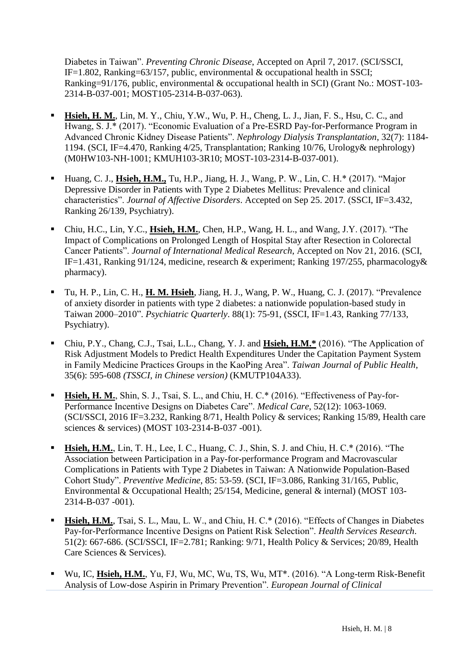Diabetes in Taiwan". *Preventing Chronic Disease*, Accepted on April 7, 2017. (SCI/SSCI, IF=1.802, Ranking=63/157, public, environmental  $\&$  occupational health in SSCI; Ranking=91/176, public, environmental & occupational health in SCI) (Grant No.: MOST-103- 2314-B-037-001; MOST105-2314-B-037-063).

- **Hsieh, H. M.**, Lin, M. Y., Chiu, Y.W., Wu, P. H., Cheng, L. J., Jian, F. S., Hsu, C. C., and Hwang, S. J.\* (2017). "Economic Evaluation of a Pre-ESRD Pay-for-Performance Program in Advanced Chronic Kidney Disease Patients". *Nephrology Dialysis Transplantation*, 32(7): 1184- 1194. (SCI, IF=4.470, Ranking 4/25, Transplantation; Ranking 10/76, Urology& nephrology) (M0HW103-NH-1001; KMUH103-3R10; MOST-103-2314-B-037-001).
- Huang, C. J., **Hsieh, H.M.,** Tu, H.P., Jiang, H. J., Wang, P. W., Lin, C. H.\* (2017). "Major Depressive Disorder in Patients with Type 2 Diabetes Mellitus: Prevalence and clinical characteristics". *Journal of Affective Disorders*. Accepted on Sep 25. 2017. (SSCI, IF=3.432, Ranking 26/139, Psychiatry).
- Chiu, H.C., Lin, Y.C., **Hsieh, H.M.**, Chen, H.P., Wang, H. L., and Wang, J.Y. (2017). "The Impact of Complications on Prolonged Length of Hospital Stay after Resection in Colorectal Cancer Patients". *Journal of International Medical Research*, Accepted on Nov 21, 2016. (SCI, IF=1.431, Ranking 91/124, medicine, research & experiment; Ranking 197/255, pharmacology& pharmacy).
- Tu, H. P., Lin, C. H., **H. M. Hsieh**, Jiang, H. J., Wang, P. W., Huang, C. J. (2017). "Prevalence of anxiety disorder in patients with type 2 diabetes: a nationwide population-based study in Taiwan 2000–2010". *Psychiatric Quarterly*. 88(1): 75-91, (SSCI, IF=1.43, Ranking 77/133, Psychiatry).
- Chiu, P.Y., Chang, C.J., Tsai, L.L., Chang, Y. J. and **Hsieh, H.M.\*** (2016). "The Application of Risk Adjustment Models to Predict Health Expenditures Under the Capitation Payment System in Family Medicine Practices Groups in the KaoPing Area". *Taiwan Journal of Public Health*, 35(6): 595-608 *(TSSCI, in Chinese version)* (KMUTP104A33).
- **Hsieh, H. M.**, Shin, S. J., Tsai, S. L., and Chiu, H. C.\* (2016). "Effectiveness of Pay-for-Performance Incentive Designs on Diabetes Care". *Medical Care*, 52(12): 1063-1069. (SCI/SSCI, 2016 IF=3.232, Ranking 8/71, Health Policy & services; Ranking 15/89, Health care sciences & services) (MOST 103-2314-B-037 -001).
- **Hsieh, H.M.**, Lin, T. H., Lee, I. C., Huang, C. J., Shin, S. J. and Chiu, H. C.\* (2016). "The Association between Participation in a Pay-for-performance Program and Macrovascular Complications in Patients with Type 2 Diabetes in Taiwan: A Nationwide Population-Based Cohort Study". *Preventive Medicine*, 85: 53-59. (SCI, IF=3.086, Ranking 31/165, Public, Environmental & Occupational Health; 25/154, Medicine, general & internal) (MOST 103- 2314-B-037 -001).
- **Hsieh, H.M.**, Tsai, S. L., Mau, L. W., and Chiu, H. C.\* (2016). "Effects of Changes in Diabetes Pay-for-Performance Incentive Designs on Patient Risk Selection". *Health Services Research*. 51(2): 667-686. (SCI/SSCI, IF=2.781; Ranking: 9/71, Health Policy & Services; 20/89, Health Care Sciences & Services).
- Wu, IC, **Hsieh, H.M.**, Yu, FJ, Wu, MC, Wu, TS, Wu, MT\*. (2016). "A Long-term Risk-Benefit Analysis of Low-dose Aspirin in Primary Prevention". *European Journal of Clinical*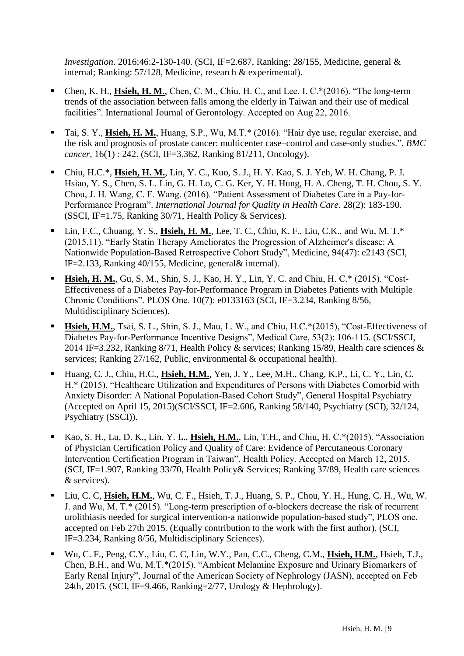*Investigation.* 2016;46:2-130-140. (SCI, IF=2.687, Ranking: 28/155, Medicine, general & internal; Ranking: 57/128, Medicine, research & experimental).

- Chen, K. H., **Hsieh, H. M.**, Chen, C. M., Chiu, H. C., and Lee, I. C.\*(2016). "The long-term trends of the association between falls among the elderly in Taiwan and their use of medical facilities". International Journal of Gerontology. Accepted on Aug 22, 2016.
- Tai, S. Y., **Hsieh, H. M.**, Huang, S.P., Wu, M.T.\* (2016). "Hair dye use, regular exercise, and the risk and prognosis of prostate cancer: multicenter case–control and case-only studies.". *BMC cancer,* 16(1) : 242. (SCI, IF=3.362, Ranking 81/211, Oncology).
- Chiu, H.C.\*, **Hsieh, H. M.**, Lin, Y. C., Kuo, S. J., H. Y. Kao, S. J. Yeh, W. H. Chang, P. J. Hsiao, Y. S., Chen, S. L. Lin, G. H. Lo, C. G. Ker, Y. H. Hung, H. A. Cheng, T. H. Chou, S. Y. Chou, J. H. Wang, C. F. Wang. (2016). "Patient Assessment of Diabetes Care in a Pay-for-Performance Program". *International Journal for Quality in Health Care*. 28(2): 183-190. (SSCI, IF=1.75, Ranking 30/71, Health Policy & Services).
- Lin, F.C., Chuang, Y. S., **Hsieh, H. M.**, Lee, T. C., Chiu, K. F., Liu, C.K., and Wu, M. T.\* (2015.11). "Early Statin Therapy Ameliorates the Progression of Alzheimer's disease: A Nationwide Population-Based Retrospective Cohort Study", Medicine, 94(47): e2143 (SCI, IF=2.133, Ranking 40/155, Medicine, general& internal).
- **Hsieh, H. M.**, Gu, S. M., Shin, S. J., Kao, H. Y., Lin, Y. C. and Chiu, H. C.\* (2015). "Cost-Effectiveness of a Diabetes Pay-for-Performance Program in Diabetes Patients with Multiple Chronic Conditions". PLOS One. 10(7): e0133163 (SCI, IF=3.234, Ranking 8/56, Multidisciplinary Sciences).
- **Hsieh, H.M.**, Tsai, S. L., Shin, S. J., Mau, L. W., and Chiu, H.C.\*(2015), "Cost-Effectiveness of Diabetes Pay-for-Performance Incentive Designs", Medical Care, 53(2): 106-115. (SCI/SSCI, 2014 IF=3.232, Ranking 8/71, Health Policy & services; Ranking 15/89, Health care sciences  $\&$ services; Ranking 27/162, Public, environmental & occupational health).
- Huang, C. J., Chiu, H.C., **Hsieh, H.M.**, Yen, J. Y., Lee, M.H., Chang, K.P., Li, C. Y., Lin, C. H.\* (2015). "Healthcare Utilization and Expenditures of Persons with Diabetes Comorbid with Anxiety Disorder: A National Population-Based Cohort Study", General Hospital Psychiatry (Accepted on April 15, 2015)(SCI/SSCI, IF=2.606, Ranking 58/140, Psychiatry (SCI), 32/124, Psychiatry (SSCI)).
- Kao, S. H., Lu, D. K., Lin, Y. L., Hsieh, H.M., Lin, T.H., and Chiu, H. C.\*(2015). "Association of Physician Certification Policy and Quality of Care: Evidence of Percutaneous Coronary Intervention Certification Program in Taiwan". Health Policy. Accepted on March 12, 2015. (SCI, IF=1.907, Ranking 33/70, Health Policy& Services; Ranking 37/89, Health care sciences & services).
- Liu, C. C, **Hsieh, H.M.**, Wu, C. F., Hsieh, T. J., Huang, S. P., Chou, Y. H., Hung, C. H., Wu, W. J. and Wu, M. T.\* (2015). "Long-term prescription of α-blockers decrease the risk of recurrent urolithiasis needed for surgical intervention-a nationwide population-based study", PLOS one, accepted on Feb 27th 2015. (Equally contribution to the work with the first author). (SCI, IF=3.234, Ranking 8/56, Multidisciplinary Sciences).
- Wu, C. F., Peng, C.Y., Liu, C. C, Lin, W.Y., Pan, C.C., Cheng, C.M., **Hsieh, H.M.**, Hsieh, T.J., Chen, B.H., and Wu, M.T.\*(2015). "Ambient Melamine Exposure and Urinary Biomarkers of Early Renal Injury", Journal of the American Society of Nephrology (JASN), accepted on Feb 24th, 2015. (SCI, IF=9.466, Ranking=2/77, Urology & Hephrology).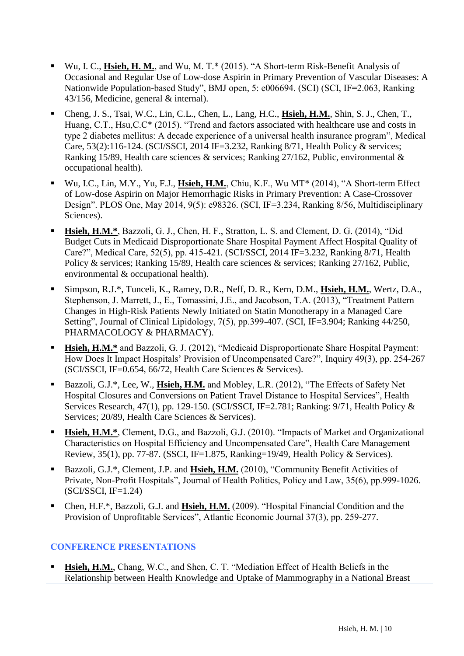- Wu, I. C., **Hsieh, H. M.**, and Wu, M. T.\* (2015). "A Short-term Risk-Benefit Analysis of Occasional and Regular Use of Low-dose Aspirin in Primary Prevention of Vascular Diseases: A Nationwide Population-based Study", BMJ open, 5: e006694. (SCI) (SCI, IF=2.063, Ranking 43/156, Medicine, general & internal).
- Cheng, J. S., Tsai, W.C., Lin, C.L., Chen, L., Lang, H.C., **Hsieh, H.M.**, Shin, S. J., Chen, T., Huang, C.T., Hsu,C.C\* (2015). "Trend and factors associated with healthcare use and costs in type 2 diabetes mellitus: A decade experience of a universal health insurance program", Medical Care, 53(2):116-124. (SCI/SSCI, 2014 IF=3.232, Ranking 8/71, Health Policy & services; Ranking 15/89, Health care sciences & services; Ranking 27/162, Public, environmental & occupational health).
- Wu, I.C., Lin, M.Y., Yu, F.J., **Hsieh, H.M.**, Chiu, K.F., Wu MT\* (2014), "A Short-term Effect of Low-dose Aspirin on Major Hemorrhagic Risks in Primary Prevention: A Case-Crossover Design". PLOS One, May 2014, 9(5): e98326. (SCI, IF=3.234, Ranking 8/56, Multidisciplinary Sciences).
- **Hsieh, H.M.\***, Bazzoli, G. J., Chen, H. F., Stratton, L. S. and Clement, D. G. (2014), "Did Budget Cuts in Medicaid Disproportionate Share Hospital Payment Affect Hospital Quality of Care?", Medical Care, 52(5), pp. 415-421. (SCI/SSCI, 2014 IF=3.232, Ranking 8/71, Health Policy & services; Ranking 15/89, Health care sciences & services; Ranking 27/162, Public, environmental & occupational health).
- Simpson, R.J.\*, Tunceli, K., Ramey, D.R., Neff, D. R., Kern, D.M., **Hsieh, H.M.**, Wertz, D.A., Stephenson, J. Marrett, J., E., Tomassini, J.E., and Jacobson, T.A. (2013), "Treatment Pattern Changes in High-Risk Patients Newly Initiated on Statin Monotherapy in a Managed Care Setting", Journal of Clinical Lipidology, 7(5), pp.399-407. (SCI, IF=3.904; Ranking 44/250, PHARMACOLOGY & PHARMACY).
- Hsieh, H.M.\* and Bazzoli, G. J. (2012), "Medicaid Disproportionate Share Hospital Payment: How Does It Impact Hospitals' Provision of Uncompensated Care?", Inquiry 49(3), pp. 254-267 (SCI/SSCI, IF=0.654, 66/72, Health Care Sciences & Services).
- Bazzoli, G.J.\*, Lee, W., **Hsieh, H.M.** and Mobley, L.R. (2012), "The Effects of Safety Net Hospital Closures and Conversions on Patient Travel Distance to Hospital Services", Health Services Research, 47(1), pp. 129-150. (SCI/SSCI, IF=2.781; Ranking: 9/71, Health Policy & Services; 20/89, Health Care Sciences & Services).
- **Example 1.5 Figure 1.5 Figure 1.5 Figure 1.5 Figure 1.5 Figure 1.5 Figure 1.5 Figure 1.5 Figure 1.6 Figure 1.5 Figure 1.6 Figure 1.6 Figure 1.6 Figure 1.6 Figure 1.6 Figure 1.6 Figure 1.6 Figure 1.6 Figure 1.6 Figure 1.6** Characteristics on Hospital Efficiency and Uncompensated Care", Health Care Management Review, 35(1), pp. 77-87. (SSCI, IF=1.875, Ranking=19/49, Health Policy & Services).
- Bazzoli, G.J.<sup>\*</sup>, Clement, J.P. and Hsieh, H.M. (2010), "Community Benefit Activities of Private, Non-Profit Hospitals", Journal of Health Politics, Policy and Law, 35(6), pp.999-1026. (SCI/SSCI, IF=1.24)
- Chen, H.F.<sup>\*</sup>, Bazzoli, G.J. and Hsieh, H.M. (2009). "Hospital Financial Condition and the Provision of Unprofitable Services", Atlantic Economic Journal 37(3), pp. 259-277.

#### **CONFERENCE PRESENTATIONS**

**Hsieh, H.M.**, Chang, W.C., and Shen, C. T. "Mediation Effect of Health Beliefs in the Relationship between Health Knowledge and Uptake of Mammography in a National Breast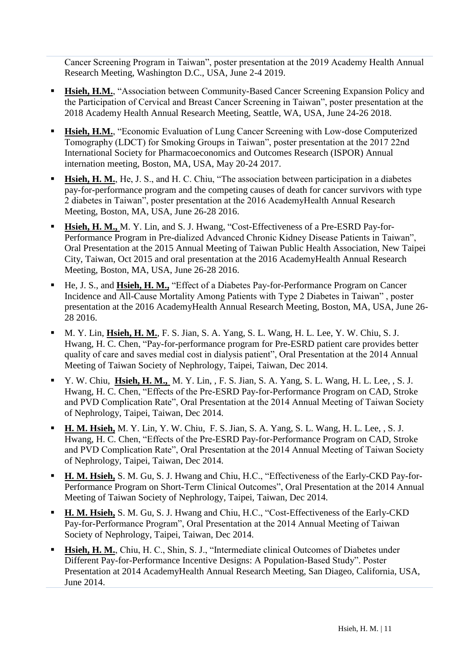Cancer Screening Program in Taiwan", poster presentation at the 2019 Academy Health Annual Research Meeting, Washington D.C., USA, June 2-4 2019.

- **Hsieh, H.M.**, "Association between Community-Based Cancer Screening Expansion Policy and the Participation of Cervical and Breast Cancer Screening in Taiwan", poster presentation at the 2018 Academy Health Annual Research Meeting, Seattle, WA, USA, June 24-26 2018.
- **Hsieh, H.M.**, "Economic Evaluation of Lung Cancer Screening with Low-dose Computerized Tomography (LDCT) for Smoking Groups in Taiwan", poster presentation at the 2017 22nd International Society for Pharmacoeconomics and Outcomes Research (ISPOR) Annual internation meeting, Boston, MA, USA, May 20-24 2017.
- **Exigen, H. M.**, He, J. S., and H. C. Chiu, "The association between participation in a diabetes pay-for-performance program and the competing causes of death for cancer survivors with type 2 diabetes in Taiwan", poster presentation at the 2016 AcademyHealth Annual Research Meeting, Boston, MA, USA, June 26-28 2016.
- **Hsieh, H. M., M. Y. Lin, and S. J. Hwang, "Cost-Effectiveness of a Pre-ESRD Pay-for-**Performance Program in Pre-dialized Advanced Chronic Kidney Disease Patients in Taiwan", Oral Presentation at the 2015 Annual Meeting of Taiwan Public Health Association, New Taipei City, Taiwan, Oct 2015 and oral presentation at the 2016 AcademyHealth Annual Research Meeting, Boston, MA, USA, June 26-28 2016.
- He, J. S., and **Hsieh, H. M.,** "Effect of a Diabetes Pay-for-Performance Program on Cancer Incidence and All-Cause Mortality Among Patients with Type 2 Diabetes in Taiwan" , poster presentation at the 2016 AcademyHealth Annual Research Meeting, Boston, MA, USA, June 26- 28 2016.
- M. Y. Lin, **Hsieh, H. M.**, F. S. Jian, S. A. Yang, S. L. Wang, H. L. Lee, Y. W. Chiu, S. J. Hwang, H. C. Chen, "Pay-for-performance program for Pre-ESRD patient care provides better quality of care and saves medial cost in dialysis patient", Oral Presentation at the 2014 Annual Meeting of Taiwan Society of Nephrology, Taipei, Taiwan, Dec 2014.
- Y. W. Chiu, **Hsieh, H. M.,** M. Y. Lin, , F. S. Jian, S. A. Yang, S. L. Wang, H. L. Lee, , S. J. Hwang, H. C. Chen, "Effects of the Pre-ESRD Pay-for-Performance Program on CAD, Stroke and PVD Complication Rate", Oral Presentation at the 2014 Annual Meeting of Taiwan Society of Nephrology, Taipei, Taiwan, Dec 2014.
- **H. M. Hsieh,** M. Y. Lin, Y. W. Chiu, F. S. Jian, S. A. Yang, S. L. Wang, H. L. Lee, , S. J. Hwang, H. C. Chen, "Effects of the Pre-ESRD Pay-for-Performance Program on CAD, Stroke and PVD Complication Rate", Oral Presentation at the 2014 Annual Meeting of Taiwan Society of Nephrology, Taipei, Taiwan, Dec 2014.
- **H. M. Hsieh,** S. M. Gu, S. J. Hwang and Chiu, H.C., "Effectiveness of the Early-CKD Pay-for-Performance Program on Short-Term Clinical Outcomes", Oral Presentation at the 2014 Annual Meeting of Taiwan Society of Nephrology, Taipei, Taiwan, Dec 2014.
- **H. M. Hsieh,** S. M. Gu, S. J. Hwang and Chiu, H.C., "Cost-Effectiveness of the Early-CKD Pay-for-Performance Program", Oral Presentation at the 2014 Annual Meeting of Taiwan Society of Nephrology, Taipei, Taiwan, Dec 2014.
- **Hsieh, H. M.**, Chiu, H. C., Shin, S. J., "Intermediate clinical Outcomes of Diabetes under Different Pay-for-Performance Incentive Designs: A Population-Based Study". Poster Presentation at 2014 AcademyHealth Annual Research Meeting, San Diageo, California, USA, June 2014.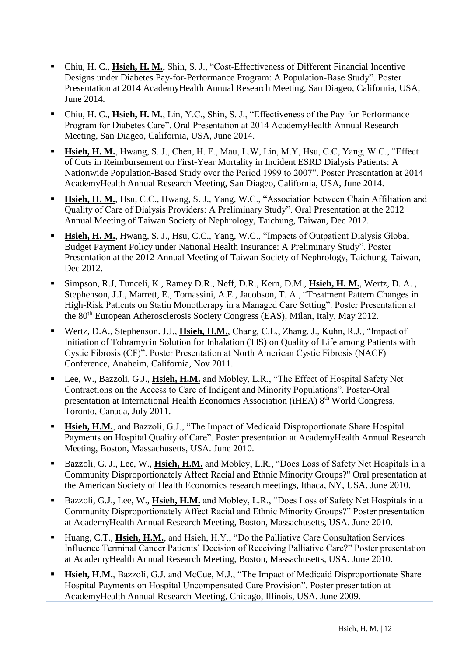- Chiu, H. C., **Hsieh, H. M.**, Shin, S. J., "Cost-Effectiveness of Different Financial Incentive Designs under Diabetes Pay-for-Performance Program: A Population-Base Study". Poster Presentation at 2014 AcademyHealth Annual Research Meeting, San Diageo, California, USA, June 2014.
- Chiu, H. C., **Hsieh, H. M.**, Lin, Y.C., Shin, S. J., "Effectiveness of the Pay-for-Performance Program for Diabetes Care". Oral Presentation at 2014 AcademyHealth Annual Research Meeting, San Diageo, California, USA, June 2014.
- **Hsieh, H. M.**, Hwang, S. J., Chen, H. F., Mau, L.W, Lin, M.Y, Hsu, C.C, Yang, W.C., "Effect of Cuts in Reimbursement on First-Year Mortality in Incident ESRD Dialysis Patients: A Nationwide Population-Based Study over the Period 1999 to 2007". Poster Presentation at 2014 AcademyHealth Annual Research Meeting, San Diageo, California, USA, June 2014.
- **Hsieh, H. M.**, Hsu, C.C., Hwang, S. J., Yang, W.C., "Association between Chain Affiliation and Quality of Care of Dialysis Providers: A Preliminary Study". Oral Presentation at the 2012 Annual Meeting of Taiwan Society of Nephrology, Taichung, Taiwan, Dec 2012.
- **Hsieh, H. M.**, Hwang, S. J., Hsu, C.C., Yang, W.C., "Impacts of Outpatient Dialysis Global Budget Payment Policy under National Health Insurance: A Preliminary Study". Poster Presentation at the 2012 Annual Meeting of Taiwan Society of Nephrology, Taichung, Taiwan, Dec 2012.
- Simpson, R.J, Tunceli, K., Ramey D.R., Neff, D.R., Kern, D.M., **Hsieh, H. M.**, Wertz, D. A. , Stephenson, J.J., Marrett, E., Tomassini, A.E., Jacobson, T. A., "Treatment Pattern Changes in High-Risk Patients on Statin Monotherapy in a Managed Care Setting". Poster Presentation at the 80th European Atherosclerosis Society Congress (EAS), Milan, Italy, May 2012.
- Wertz, D.A., Stephenson. J.J., Hsieh, H.M., Chang, C.L., Zhang, J., Kuhn, R.J., "Impact of Initiation of Tobramycin Solution for Inhalation (TIS) on Quality of Life among Patients with Cystic Fibrosis (CF)". Poster Presentation at North American Cystic Fibrosis (NACF) Conference, Anaheim, California, Nov 2011.
- Lee, W., Bazzoli, G.J., **Hsieh, H.M.** and Mobley, L.R., "The Effect of Hospital Safety Net Contractions on the Access to Care of Indigent and Minority Populations". Poster-Oral presentation at International Health Economics Association (iHEA) 8th World Congress, Toronto, Canada, July 2011.
- **Example 1.5 Figure 1.1** Hospital **History Historical** Engineerial Bisproportionate Share Hospital **History History History History History History History History History History History History** Payments on Hospital Quality of Care". Poster presentation at AcademyHealth Annual Research Meeting, Boston, Massachusetts, USA. June 2010.
- Bazzoli, G. J., Lee, W., *Hsieh, H.M.* and Mobley, L.R., "Does Loss of Safety Net Hospitals in a Community Disproportionately Affect Racial and Ethnic Minority Groups?" Oral presentation at the American Society of Health Economics research meetings, Ithaca, NY, USA. June 2010.
- Bazzoli, G.J., Lee, W., **Hsieh, H.M.** and Mobley, L.R., "Does Loss of Safety Net Hospitals in a Community Disproportionately Affect Racial and Ethnic Minority Groups?" Poster presentation at AcademyHealth Annual Research Meeting, Boston, Massachusetts, USA. June 2010.
- Huang, C.T., **Hsieh, H.M.**, and Hsieh, H.Y., "Do the Palliative Care Consultation Services Influence Terminal Cancer Patients' Decision of Receiving Palliative Care?" Poster presentation at AcademyHealth Annual Research Meeting, Boston, Massachusetts, USA. June 2010.
- Hsieh, H.M., Bazzoli, G.J. and McCue, M.J., "The Impact of Medicaid Disproportionate Share Hospital Payments on Hospital Uncompensated Care Provision". Poster presentation at AcademyHealth Annual Research Meeting, Chicago, Illinois, USA. June 2009.